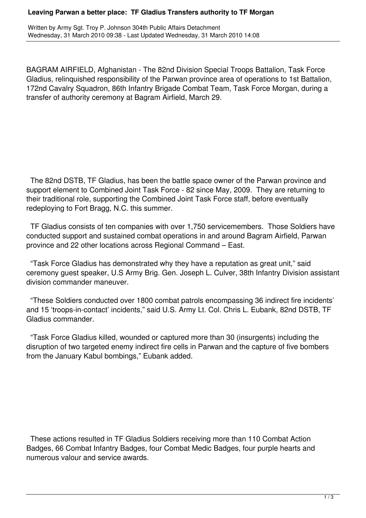## **Leaving Parwan a better place: TF Gladius Transfers authority to TF Morgan**

Written by Army Sgt. Troy P. Johnson 304th Public Affairs Detachment Wednesday, 31 March 2010 09:38 - Last Updated Wednesday, 31 March 2010 14:08

BAGRAM AIRFIELD, Afghanistan - The 82nd Division Special Troops Battalion, Task Force Gladius, relinquished responsibility of the Parwan province area of operations to 1st Battalion, 172nd Cavalry Squadron, 86th Infantry Brigade Combat Team, Task Force Morgan, during a transfer of authority ceremony at Bagram Airfield, March 29.

 The 82nd DSTB, TF Gladius, has been the battle space owner of the Parwan province and support element to Combined Joint Task Force - 82 since May, 2009. They are returning to their traditional role, supporting the Combined Joint Task Force staff, before eventually redeploying to Fort Bragg, N.C. this summer.

 TF Gladius consists of ten companies with over 1,750 servicemembers. Those Soldiers have conducted support and sustained combat operations in and around Bagram Airfield, Parwan province and 22 other locations across Regional Command – East.

 "Task Force Gladius has demonstrated why they have a reputation as great unit," said ceremony guest speaker, U.S Army Brig. Gen. Joseph L. Culver, 38th Infantry Division assistant division commander maneuver.

 "These Soldiers conducted over 1800 combat patrols encompassing 36 indirect fire incidents' and 15 'troops-in-contact' incidents," said U.S. Army Lt. Col. Chris L. Eubank, 82nd DSTB, TF Gladius commander.

 "Task Force Gladius killed, wounded or captured more than 30 (insurgents) including the disruption of two targeted enemy indirect fire cells in Parwan and the capture of five bombers from the January Kabul bombings," Eubank added.

 These actions resulted in TF Gladius Soldiers receiving more than 110 Combat Action Badges, 66 Combat Infantry Badges, four Combat Medic Badges, four purple hearts and numerous valour and service awards.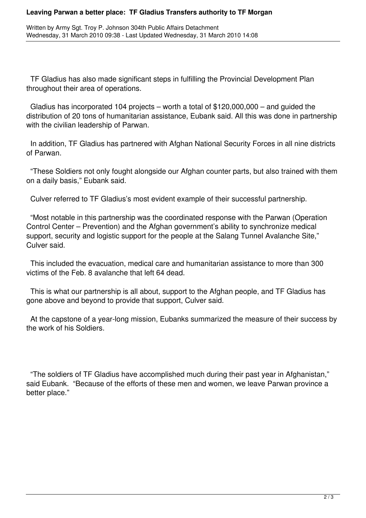## **Leaving Parwan a better place: TF Gladius Transfers authority to TF Morgan**

Written by Army Sgt. Troy P. Johnson 304th Public Affairs Detachment Wednesday, 31 March 2010 09:38 - Last Updated Wednesday, 31 March 2010 14:08

 TF Gladius has also made significant steps in fulfilling the Provincial Development Plan throughout their area of operations.

 Gladius has incorporated 104 projects – worth a total of \$120,000,000 – and guided the distribution of 20 tons of humanitarian assistance, Eubank said. All this was done in partnership with the civilian leadership of Parwan.

 In addition, TF Gladius has partnered with Afghan National Security Forces in all nine districts of Parwan.

 "These Soldiers not only fought alongside our Afghan counter parts, but also trained with them on a daily basis," Eubank said.

Culver referred to TF Gladius's most evident example of their successful partnership.

 "Most notable in this partnership was the coordinated response with the Parwan (Operation Control Center – Prevention) and the Afghan government's ability to synchronize medical support, security and logistic support for the people at the Salang Tunnel Avalanche Site," Culver said.

 This included the evacuation, medical care and humanitarian assistance to more than 300 victims of the Feb. 8 avalanche that left 64 dead.

 This is what our partnership is all about, support to the Afghan people, and TF Gladius has gone above and beyond to provide that support, Culver said.

 At the capstone of a year-long mission, Eubanks summarized the measure of their success by the work of his Soldiers.

 "The soldiers of TF Gladius have accomplished much during their past year in Afghanistan," said Eubank. "Because of the efforts of these men and women, we leave Parwan province a better place."